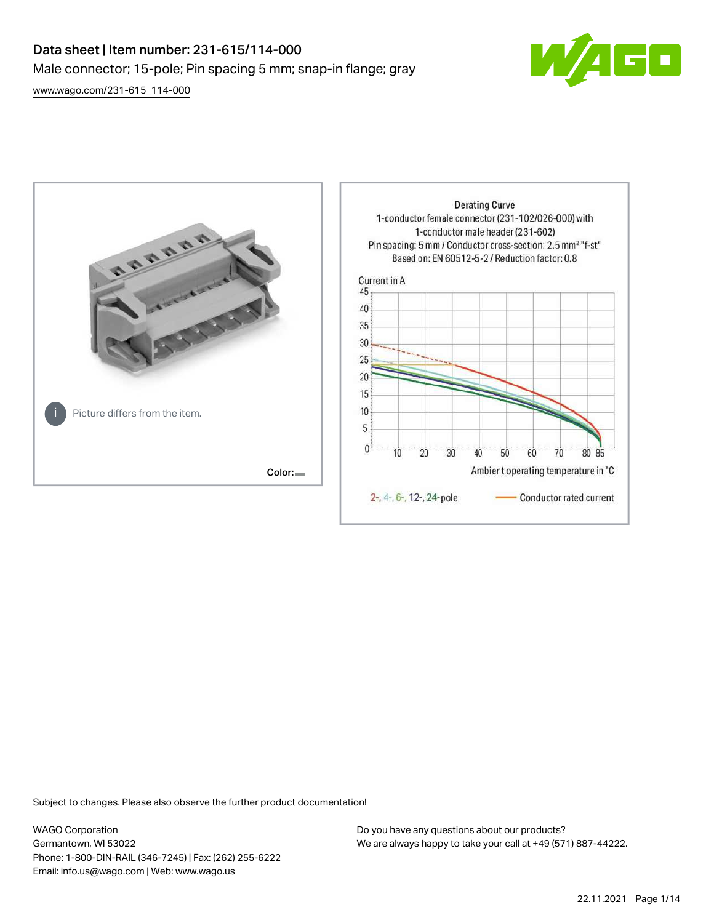# Data sheet | Item number: 231-615/114-000 Male connector; 15-pole; Pin spacing 5 mm; snap-in flange; gray







Subject to changes. Please also observe the further product documentation!

WAGO Corporation Germantown, WI 53022 Phone: 1-800-DIN-RAIL (346-7245) | Fax: (262) 255-6222 Email: info.us@wago.com | Web: www.wago.us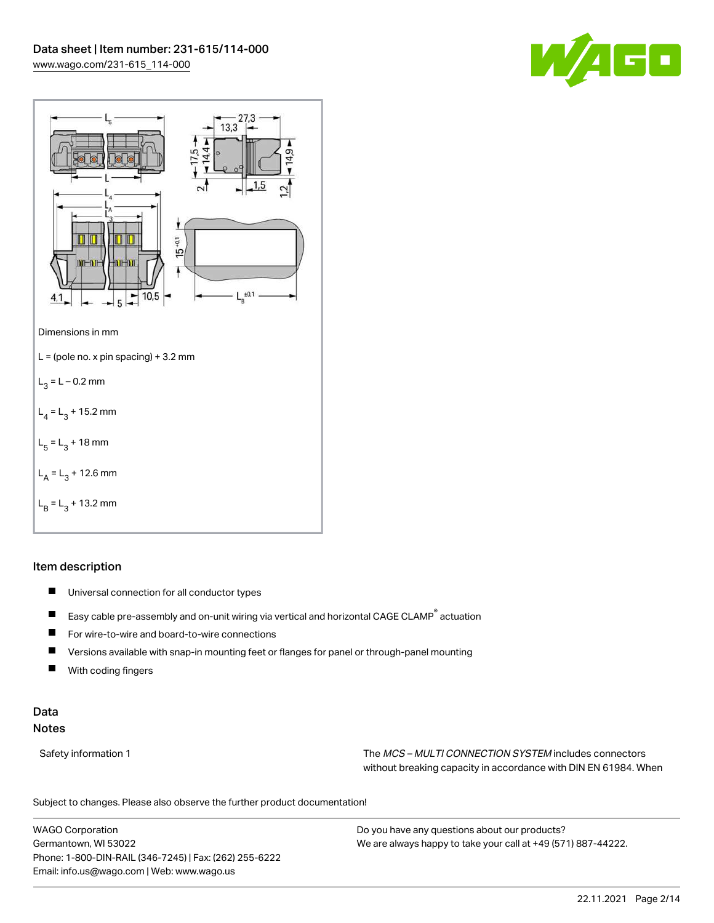



## Item description

- $\blacksquare$ Universal connection for all conductor types
- $\blacksquare$ Easy cable pre-assembly and on-unit wiring via vertical and horizontal CAGE CLAMP® actuation
- $\blacksquare$ For wire-to-wire and board-to-wire connections
- $\blacksquare$ Versions available with snap-in mounting feet or flanges for panel or through-panel mounting
- П With coding fingers

## Data Notes

Safety information 1 The MCS – MULTI CONNECTION SYSTEM includes connectors without breaking capacity in accordance with DIN EN 61984. When

Subject to changes. Please also observe the further product documentation!  $\mathbf{u}$ 

WAGO Corporation Germantown, WI 53022 Phone: 1-800-DIN-RAIL (346-7245) | Fax: (262) 255-6222 Email: info.us@wago.com | Web: www.wago.us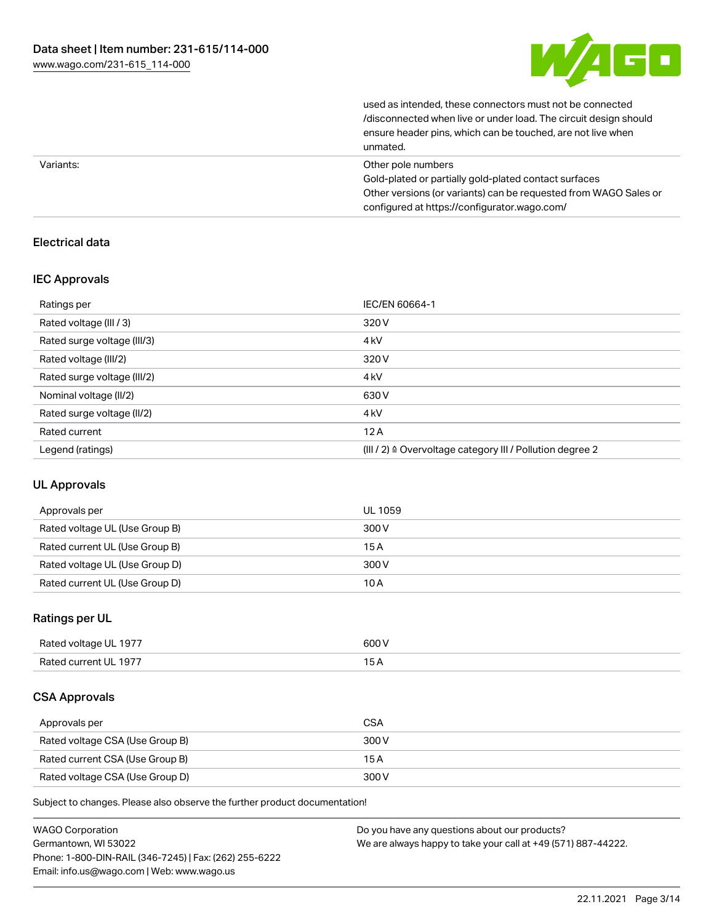

| unmated.                                                         |
|------------------------------------------------------------------|
| ensure header pins, which can be touched, are not live when      |
| /disconnected when live or under load. The circuit design should |
| used as intended, these connectors must not be connected         |

| Variants: | Other pole numbers                                               |
|-----------|------------------------------------------------------------------|
|           | Gold-plated or partially gold-plated contact surfaces            |
|           | Other versions (or variants) can be requested from WAGO Sales or |
|           | configured at https://configurator.wago.com/                     |

## Electrical data

#### IEC Approvals

| Ratings per                 | IEC/EN 60664-1                                                       |
|-----------------------------|----------------------------------------------------------------------|
| Rated voltage (III / 3)     | 320 V                                                                |
| Rated surge voltage (III/3) | 4 <sub>kV</sub>                                                      |
| Rated voltage (III/2)       | 320 V                                                                |
| Rated surge voltage (III/2) | 4 <sub>k</sub> V                                                     |
| Nominal voltage (II/2)      | 630 V                                                                |
| Rated surge voltage (II/2)  | 4 <sub>k</sub> V                                                     |
| Rated current               | 12A                                                                  |
| Legend (ratings)            | (III / 2) $\triangleq$ Overvoltage category III / Pollution degree 2 |

### UL Approvals

| Approvals per                  | UL 1059 |
|--------------------------------|---------|
| Rated voltage UL (Use Group B) | 300 V   |
| Rated current UL (Use Group B) | 15 A    |
| Rated voltage UL (Use Group D) | 300 V   |
| Rated current UL (Use Group D) | 10 A    |

### Ratings per UL

| Rated voltage UL 1977 | 600 V |
|-----------------------|-------|
| Rated current UL 1977 |       |

#### CSA Approvals

| Approvals per                   | <b>CSA</b> |
|---------------------------------|------------|
| Rated voltage CSA (Use Group B) | 300 V      |
| Rated current CSA (Use Group B) | 15 A       |
| Rated voltage CSA (Use Group D) | 300 V      |

Subject to changes. Please also observe the further product documentation!

| <b>WAGO Corporation</b>                                | Do you have any questions about our products?                 |
|--------------------------------------------------------|---------------------------------------------------------------|
| Germantown, WI 53022                                   | We are always happy to take your call at +49 (571) 887-44222. |
| Phone: 1-800-DIN-RAIL (346-7245)   Fax: (262) 255-6222 |                                                               |
| Email: info.us@wago.com   Web: www.wago.us             |                                                               |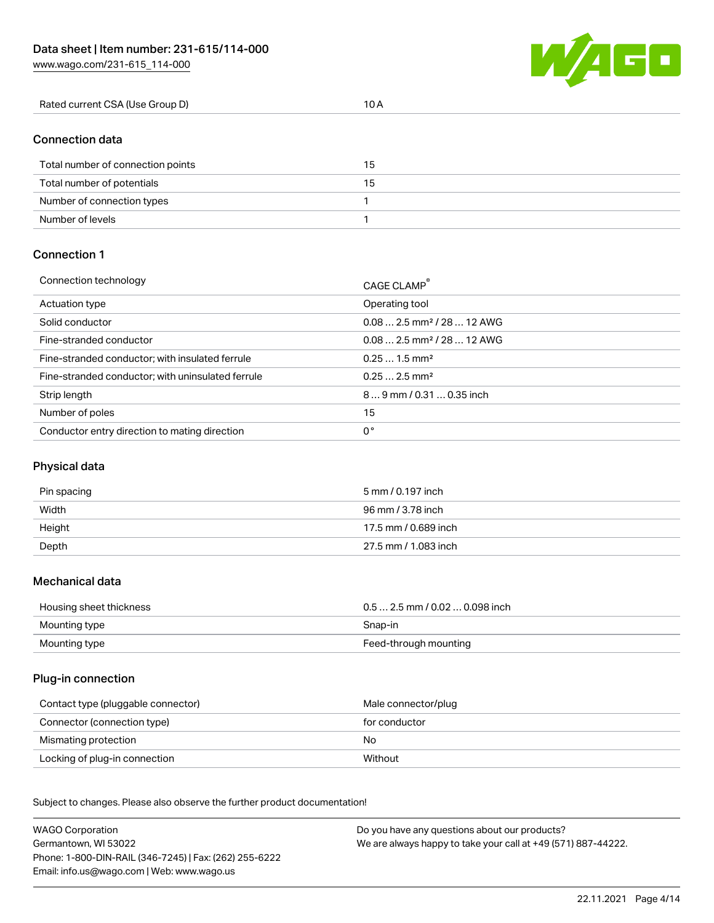[www.wago.com/231-615\\_114-000](http://www.wago.com/231-615_114-000)



| Rated current CSA (Use Group D) |  |
|---------------------------------|--|
|                                 |  |

# Connection data

| Total number of connection points | 15 |
|-----------------------------------|----|
| Total number of potentials        | 15 |
| Number of connection types        |    |
| Number of levels                  |    |

### Connection 1

| Connection technology                             | CAGE CLAMP®                             |
|---------------------------------------------------|-----------------------------------------|
| Actuation type                                    | Operating tool                          |
| Solid conductor                                   | $0.082.5$ mm <sup>2</sup> / 28  12 AWG  |
| Fine-stranded conductor                           | $0.08$ 2.5 mm <sup>2</sup> / 28  12 AWG |
| Fine-stranded conductor; with insulated ferrule   | $0.251.5$ mm <sup>2</sup>               |
| Fine-stranded conductor; with uninsulated ferrule | $0.252.5$ mm <sup>2</sup>               |
| Strip length                                      | $89$ mm / 0.31  0.35 inch               |
| Number of poles                                   | 15                                      |
| Conductor entry direction to mating direction     | 0°                                      |

# Physical data

| Pin spacing | 5 mm / 0.197 inch    |
|-------------|----------------------|
| Width       | 96 mm / 3.78 inch    |
| Height      | 17.5 mm / 0.689 inch |
| Depth       | 27.5 mm / 1.083 inch |

#### Mechanical data

| Housing sheet thickness | $0.5$ 2.5 mm / 0.02  0.098 inch |
|-------------------------|---------------------------------|
| Mounting type           | Snap-in                         |
| Mounting type           | Feed-through mounting           |

#### Plug-in connection

| Contact type (pluggable connector) | Male connector/plug |
|------------------------------------|---------------------|
| Connector (connection type)        | for conductor       |
| Mismating protection               | No                  |
| Locking of plug-in connection      | Without             |

Subject to changes. Please also observe the further product documentation! Material data

| <b>WAGO Corporation</b>                                | Do you have any questions about our products?                 |
|--------------------------------------------------------|---------------------------------------------------------------|
| Germantown, WI 53022                                   | We are always happy to take your call at +49 (571) 887-44222. |
| Phone: 1-800-DIN-RAIL (346-7245)   Fax: (262) 255-6222 |                                                               |
| Email: info.us@wago.com   Web: www.wago.us             |                                                               |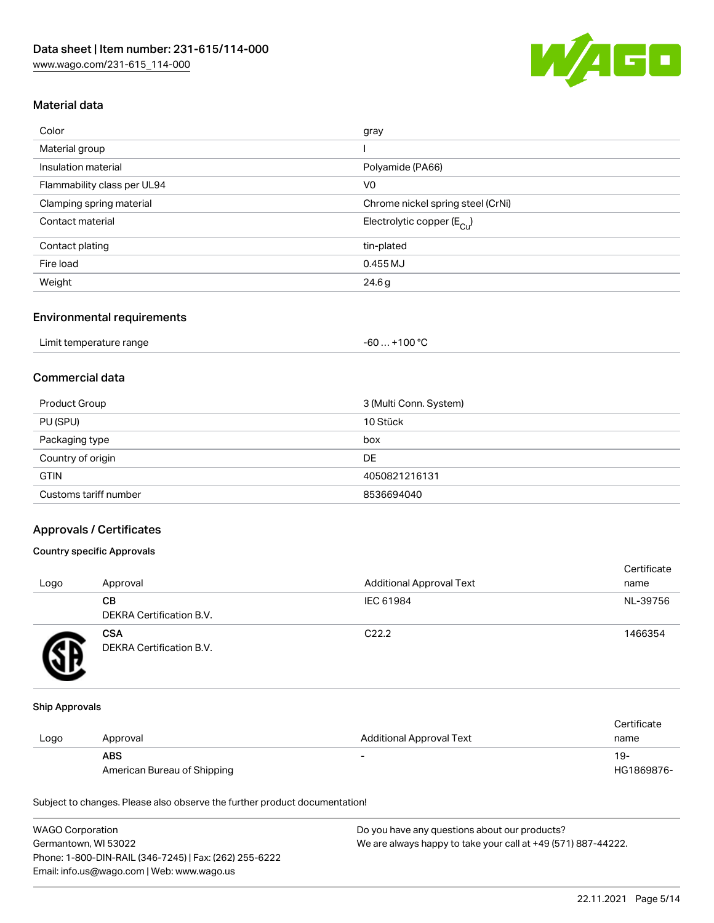

## Material data

| Color                       | gray                                   |
|-----------------------------|----------------------------------------|
| Material group              |                                        |
| Insulation material         | Polyamide (PA66)                       |
| Flammability class per UL94 | V <sub>0</sub>                         |
| Clamping spring material    | Chrome nickel spring steel (CrNi)      |
| Contact material            | Electrolytic copper (E <sub>Cu</sub> ) |
| Contact plating             | tin-plated                             |
| Fire load                   | 0.455 MJ                               |
| Weight                      | 24.6g                                  |
|                             |                                        |

#### Environmental requirements

| Limit temperature range | . +100 °C<br>$-60$ |
|-------------------------|--------------------|
|-------------------------|--------------------|

## Commercial data

| Product Group         | 3 (Multi Conn. System) |
|-----------------------|------------------------|
| PU (SPU)              | 10 Stück               |
| Packaging type        | box                    |
| Country of origin     | DE                     |
| <b>GTIN</b>           | 4050821216131          |
| Customs tariff number | 8536694040             |

### Approvals / Certificates

#### Country specific Approvals

| Logo | Approval                               | <b>Additional Approval Text</b> | Certificate<br>name |
|------|----------------------------------------|---------------------------------|---------------------|
|      | CВ<br>DEKRA Certification B.V.         | IEC 61984                       | NL-39756            |
|      | <b>CSA</b><br>DEKRA Certification B.V. | C <sub>22.2</sub>               | 1466354             |

#### Ship Approvals

|      |                             |                                 | Certificate |
|------|-----------------------------|---------------------------------|-------------|
| Logo | Approval                    | <b>Additional Approval Text</b> | name        |
|      | <b>ABS</b>                  | -                               | $19-$       |
|      | American Bureau of Shipping |                                 | HG1869876-  |

Subject to changes. Please also observe the further product documentation!

| <b>WAGO Corporation</b>                                | Do you have any questions about our products?                 |
|--------------------------------------------------------|---------------------------------------------------------------|
| Germantown, WI 53022                                   | We are always happy to take your call at +49 (571) 887-44222. |
| Phone: 1-800-DIN-RAIL (346-7245)   Fax: (262) 255-6222 |                                                               |
| Email: info.us@wago.com   Web: www.wago.us             |                                                               |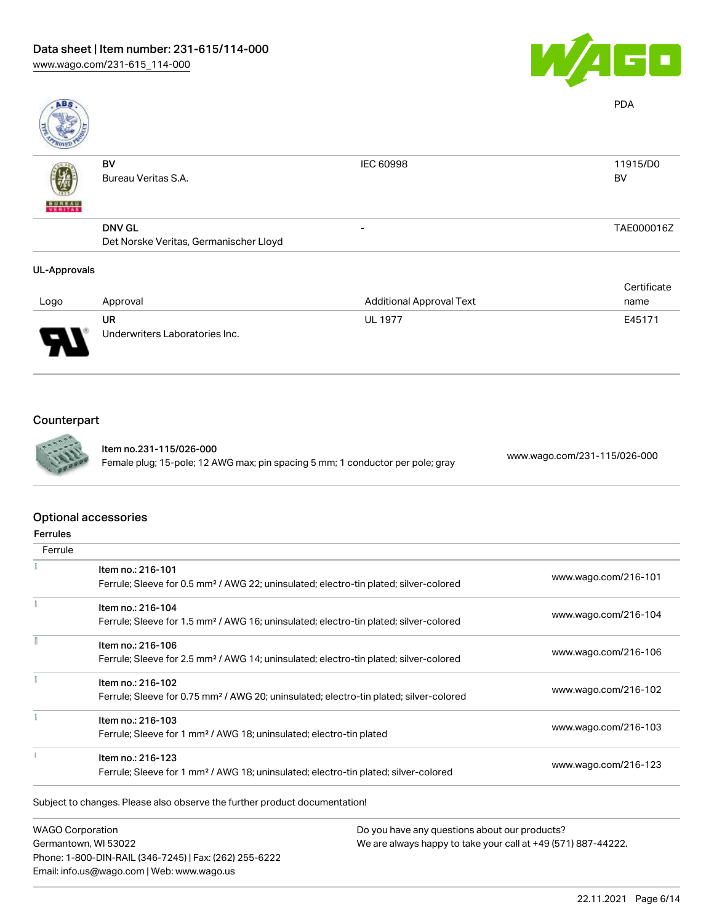

| ABS                 |                                        |                                 | <b>PDA</b>  |
|---------------------|----------------------------------------|---------------------------------|-------------|
|                     | <b>BV</b>                              | <b>IEC 60998</b>                | 11915/D0    |
|                     | Bureau Veritas S.A.                    |                                 | BV          |
| <b>BUREAU</b>       |                                        |                                 |             |
|                     | <b>DNV GL</b>                          | $\overline{\phantom{0}}$        | TAE000016Z  |
|                     | Det Norske Veritas, Germanischer Lloyd |                                 |             |
| <b>UL-Approvals</b> |                                        |                                 |             |
|                     |                                        |                                 | Certificate |
| Logo                | Approval                               | <b>Additional Approval Text</b> | name        |

| Logo     | Approval                             | <b>Additional Approval Text</b> | name   |
|----------|--------------------------------------|---------------------------------|--------|
| ſ<br>. . | UR<br>Underwriters Laboratories Inc. | <b>UL 1977</b>                  | E45171 |

# Counterpart



Item no.231-115/026-000 Female plug; 15-pole; 12 AWG max; pin spacing 5 mm; 1 conductor per pole; gray [www.wago.com/231-115/026-000](https://www.wago.com/231-115/026-000)

#### Optional accessories

| Ferrule |                                                                                                    |                      |
|---------|----------------------------------------------------------------------------------------------------|----------------------|
|         | Item no.: 216-101                                                                                  | www.wago.com/216-101 |
|         | Ferrule; Sleeve for 0.5 mm <sup>2</sup> / AWG 22; uninsulated; electro-tin plated; silver-colored  |                      |
|         | Item no.: 216-104                                                                                  |                      |
|         | Ferrule; Sleeve for 1.5 mm <sup>2</sup> / AWG 16; uninsulated; electro-tin plated; silver-colored  | www.wago.com/216-104 |
|         | Item no.: 216-106                                                                                  |                      |
|         | Ferrule; Sleeve for 2.5 mm <sup>2</sup> / AWG 14; uninsulated; electro-tin plated; silver-colored  | www.wago.com/216-106 |
|         | Item no.: 216-102                                                                                  |                      |
|         | Ferrule; Sleeve for 0.75 mm <sup>2</sup> / AWG 20; uninsulated; electro-tin plated; silver-colored | www.wago.com/216-102 |
|         | Item no.: 216-103                                                                                  |                      |
|         | Ferrule; Sleeve for 1 mm <sup>2</sup> / AWG 18; uninsulated; electro-tin plated                    | www.wago.com/216-103 |
|         | Item no.: 216-123                                                                                  |                      |
|         | Ferrule; Sleeve for 1 mm <sup>2</sup> / AWG 18; uninsulated; electro-tin plated; silver-colored    | www.wago.com/216-123 |

Subject to changes. Please also observe the further product documentation!

WAGO Corporation Germantown, WI 53022 Phone: 1-800-DIN-RAIL (346-7245) | Fax: (262) 255-6222 Email: info.us@wago.com | Web: www.wago.us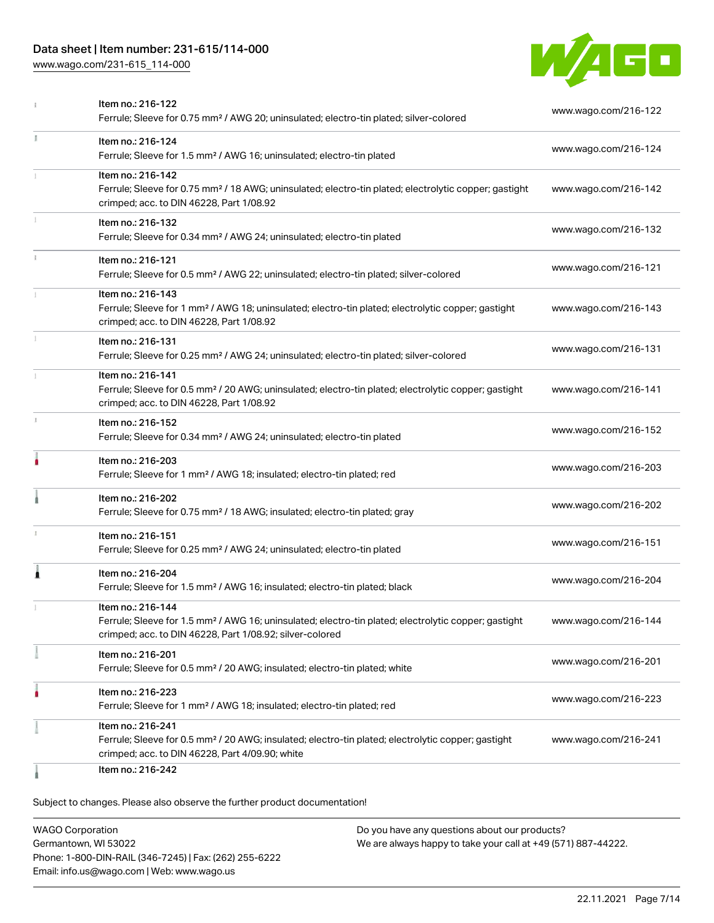## Data sheet | Item number: 231-615/114-000

[www.wago.com/231-615\\_114-000](http://www.wago.com/231-615_114-000)



|    | Item no.: 216-122<br>Ferrule; Sleeve for 0.75 mm <sup>2</sup> / AWG 20; uninsulated; electro-tin plated; silver-colored                                                                           | www.wago.com/216-122 |
|----|---------------------------------------------------------------------------------------------------------------------------------------------------------------------------------------------------|----------------------|
| Ĭ. | Item no.: 216-124<br>Ferrule; Sleeve for 1.5 mm <sup>2</sup> / AWG 16; uninsulated; electro-tin plated                                                                                            | www.wago.com/216-124 |
|    | Item no.: 216-142<br>Ferrule; Sleeve for 0.75 mm <sup>2</sup> / 18 AWG; uninsulated; electro-tin plated; electrolytic copper; gastight<br>crimped; acc. to DIN 46228, Part 1/08.92                | www.wago.com/216-142 |
|    | Item no.: 216-132<br>Ferrule; Sleeve for 0.34 mm <sup>2</sup> / AWG 24; uninsulated; electro-tin plated                                                                                           | www.wago.com/216-132 |
|    | Item no.: 216-121<br>Ferrule; Sleeve for 0.5 mm <sup>2</sup> / AWG 22; uninsulated; electro-tin plated; silver-colored                                                                            | www.wago.com/216-121 |
|    | Item no.: 216-143<br>Ferrule; Sleeve for 1 mm <sup>2</sup> / AWG 18; uninsulated; electro-tin plated; electrolytic copper; gastight<br>crimped; acc. to DIN 46228, Part 1/08.92                   | www.wago.com/216-143 |
|    | Item no.: 216-131<br>Ferrule; Sleeve for 0.25 mm <sup>2</sup> / AWG 24; uninsulated; electro-tin plated; silver-colored                                                                           | www.wago.com/216-131 |
|    | Item no.: 216-141<br>Ferrule; Sleeve for 0.5 mm <sup>2</sup> / 20 AWG; uninsulated; electro-tin plated; electrolytic copper; gastight<br>crimped; acc. to DIN 46228, Part 1/08.92                 | www.wago.com/216-141 |
| s. | Item no.: 216-152<br>Ferrule; Sleeve for 0.34 mm <sup>2</sup> / AWG 24; uninsulated; electro-tin plated                                                                                           | www.wago.com/216-152 |
| ۸  | Item no.: 216-203<br>Ferrule; Sleeve for 1 mm <sup>2</sup> / AWG 18; insulated; electro-tin plated; red                                                                                           | www.wago.com/216-203 |
|    | Item no.: 216-202<br>Ferrule; Sleeve for 0.75 mm <sup>2</sup> / 18 AWG; insulated; electro-tin plated; gray                                                                                       | www.wago.com/216-202 |
|    | Item no.: 216-151<br>Ferrule; Sleeve for 0.25 mm <sup>2</sup> / AWG 24; uninsulated; electro-tin plated                                                                                           | www.wago.com/216-151 |
| Â  | Item no.: 216-204<br>Ferrule; Sleeve for 1.5 mm <sup>2</sup> / AWG 16; insulated; electro-tin plated; black                                                                                       | www.wago.com/216-204 |
|    | Item no.: 216-144<br>Ferrule; Sleeve for 1.5 mm <sup>2</sup> / AWG 16; uninsulated; electro-tin plated; electrolytic copper; gastight<br>crimped; acc. to DIN 46228, Part 1/08.92; silver-colored | www.wago.com/216-144 |
|    | Item no.: 216-201<br>Ferrule; Sleeve for 0.5 mm <sup>2</sup> / 20 AWG; insulated; electro-tin plated; white                                                                                       | www.wago.com/216-201 |
|    | Item no.: 216-223<br>Ferrule; Sleeve for 1 mm <sup>2</sup> / AWG 18; insulated; electro-tin plated; red                                                                                           | www.wago.com/216-223 |
|    | Item no.: 216-241<br>Ferrule; Sleeve for 0.5 mm <sup>2</sup> / 20 AWG; insulated; electro-tin plated; electrolytic copper; gastight<br>crimped; acc. to DIN 46228, Part 4/09.90; white            | www.wago.com/216-241 |
|    | Item no.: 216-242                                                                                                                                                                                 |                      |

Subject to changes. Please also observe the further product documentation!

WAGO Corporation Germantown, WI 53022 Phone: 1-800-DIN-RAIL (346-7245) | Fax: (262) 255-6222 Email: info.us@wago.com | Web: www.wago.us Do you have any questions about our products? We are always happy to take your call at +49 (571) 887-44222.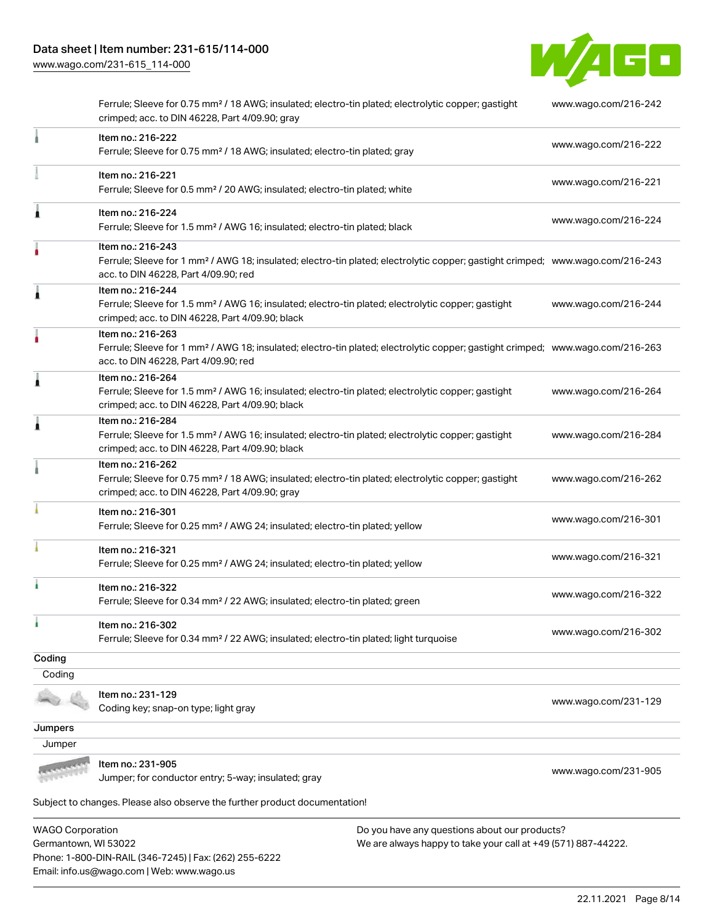[www.wago.com/231-615\\_114-000](http://www.wago.com/231-615_114-000)



|         | Ferrule; Sleeve for 0.75 mm <sup>2</sup> / 18 AWG; insulated; electro-tin plated; electrolytic copper; gastight<br>crimped; acc. to DIN 46228, Part 4/09.90; gray                                       | www.wago.com/216-242 |
|---------|---------------------------------------------------------------------------------------------------------------------------------------------------------------------------------------------------------|----------------------|
|         | Item no.: 216-222<br>Ferrule; Sleeve for 0.75 mm <sup>2</sup> / 18 AWG; insulated; electro-tin plated; gray                                                                                             | www.wago.com/216-222 |
|         | Item no.: 216-221<br>Ferrule; Sleeve for 0.5 mm <sup>2</sup> / 20 AWG; insulated; electro-tin plated; white                                                                                             | www.wago.com/216-221 |
| Ă       | Item no.: 216-224<br>Ferrule; Sleeve for 1.5 mm <sup>2</sup> / AWG 16; insulated; electro-tin plated; black                                                                                             | www.wago.com/216-224 |
|         | Item no.: 216-243<br>Ferrule; Sleeve for 1 mm <sup>2</sup> / AWG 18; insulated; electro-tin plated; electrolytic copper; gastight crimped; www.wago.com/216-243<br>acc. to DIN 46228, Part 4/09.90; red |                      |
| 1       | Item no.: 216-244<br>Ferrule; Sleeve for 1.5 mm <sup>2</sup> / AWG 16; insulated; electro-tin plated; electrolytic copper; gastight<br>crimped; acc. to DIN 46228, Part 4/09.90; black                  | www.wago.com/216-244 |
|         | Item no.: 216-263<br>Ferrule; Sleeve for 1 mm <sup>2</sup> / AWG 18; insulated; electro-tin plated; electrolytic copper; gastight crimped; www.wago.com/216-263<br>acc. to DIN 46228, Part 4/09.90; red |                      |
| 1       | Item no.: 216-264<br>Ferrule; Sleeve for 1.5 mm <sup>2</sup> / AWG 16; insulated; electro-tin plated; electrolytic copper; gastight<br>crimped; acc. to DIN 46228, Part 4/09.90; black                  | www.wago.com/216-264 |
| Â       | Item no.: 216-284<br>Ferrule; Sleeve for 1.5 mm <sup>2</sup> / AWG 16; insulated; electro-tin plated; electrolytic copper; gastight<br>crimped; acc. to DIN 46228, Part 4/09.90; black                  | www.wago.com/216-284 |
|         | Item no.: 216-262<br>Ferrule; Sleeve for 0.75 mm <sup>2</sup> / 18 AWG; insulated; electro-tin plated; electrolytic copper; gastight<br>crimped; acc. to DIN 46228, Part 4/09.90; gray                  | www.wago.com/216-262 |
|         | Item no.: 216-301<br>Ferrule; Sleeve for 0.25 mm <sup>2</sup> / AWG 24; insulated; electro-tin plated; yellow                                                                                           | www.wago.com/216-301 |
|         | Item no.: 216-321<br>Ferrule; Sleeve for 0.25 mm <sup>2</sup> / AWG 24; insulated; electro-tin plated; yellow                                                                                           | www.wago.com/216-321 |
| ì       | Item no.: 216-322<br>Ferrule; Sleeve for 0.34 mm <sup>2</sup> / 22 AWG; insulated; electro-tin plated; green                                                                                            | www.wago.com/216-322 |
|         | Item no.: 216-302<br>Ferrule; Sleeve for 0.34 mm <sup>2</sup> / 22 AWG; insulated; electro-tin plated; light turquoise                                                                                  | www.wago.com/216-302 |
| Coding  |                                                                                                                                                                                                         |                      |
| Coding  |                                                                                                                                                                                                         |                      |
|         | Item no.: 231-129<br>Coding key; snap-on type; light gray                                                                                                                                               | www.wago.com/231-129 |
| Jumpers |                                                                                                                                                                                                         |                      |
| Jumper  |                                                                                                                                                                                                         |                      |
|         | Item no.: 231-905<br>Jumper; for conductor entry; 5-way; insulated; gray                                                                                                                                | www.wago.com/231-905 |
|         | Subject to changes. Please also observe the further product documentation!                                                                                                                              |                      |

WAGO Corporation Germantown, WI 53022 Phone: 1-800-DIN-RAIL (346-7245) | Fax: (262) 255-6222 Email: info.us@wago.com | Web: www.wago.us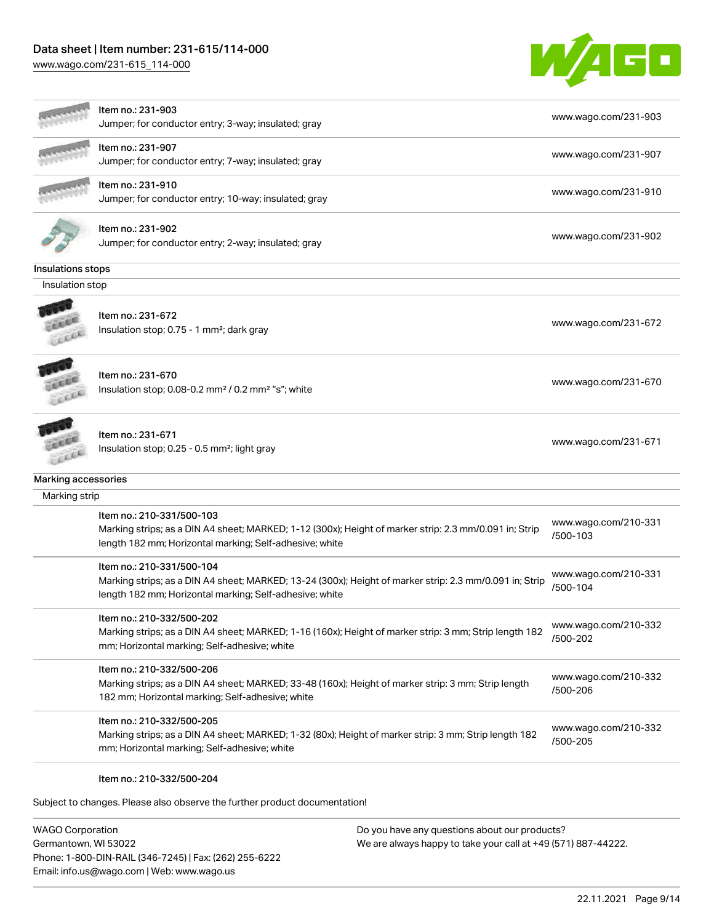## Data sheet | Item number: 231-615/114-000

[www.wago.com/231-615\\_114-000](http://www.wago.com/231-615_114-000)



|                     | ltem no.: 231-903<br>Jumper; for conductor entry; 3-way; insulated; gray                                                                                                                        | www.wago.com/231-903             |
|---------------------|-------------------------------------------------------------------------------------------------------------------------------------------------------------------------------------------------|----------------------------------|
|                     | Item no.: 231-907<br>Jumper; for conductor entry; 7-way; insulated; gray                                                                                                                        | www.wago.com/231-907             |
|                     | ltem no.: 231-910<br>Jumper; for conductor entry; 10-way; insulated; gray                                                                                                                       | www.wago.com/231-910             |
|                     | ltem no.: 231-902<br>Jumper; for conductor entry; 2-way; insulated; gray                                                                                                                        | www.wago.com/231-902             |
| Insulations stops   |                                                                                                                                                                                                 |                                  |
| Insulation stop     |                                                                                                                                                                                                 |                                  |
| Lee                 | Item no.: 231-672<br>Insulation stop; 0.75 - 1 mm <sup>2</sup> ; dark gray                                                                                                                      | www.wago.com/231-672             |
|                     | Item no.: 231-670<br>Insulation stop; 0.08-0.2 mm <sup>2</sup> / 0.2 mm <sup>2</sup> "s"; white                                                                                                 | www.wago.com/231-670             |
| LEE                 | Item no.: 231-671<br>Insulation stop; 0.25 - 0.5 mm <sup>2</sup> ; light gray                                                                                                                   | www.wago.com/231-671             |
| Marking accessories |                                                                                                                                                                                                 |                                  |
| Marking strip       |                                                                                                                                                                                                 |                                  |
|                     | Item no.: 210-331/500-103<br>Marking strips; as a DIN A4 sheet; MARKED; 1-12 (300x); Height of marker strip: 2.3 mm/0.091 in; Strip<br>length 182 mm; Horizontal marking; Self-adhesive; white  | www.wago.com/210-331<br>/500-103 |
|                     | Item no.: 210-331/500-104<br>Marking strips; as a DIN A4 sheet; MARKED; 13-24 (300x); Height of marker strip: 2.3 mm/0.091 in; Strip<br>length 182 mm; Horizontal marking; Self-adhesive; white | www.wago.com/210-331<br>/500-104 |
|                     | Item no.: 210-332/500-202<br>Marking strips; as a DIN A4 sheet; MARKED; 1-16 (160x); Height of marker strip: 3 mm; Strip length 182<br>mm; Horizontal marking; Self-adhesive; white             | www.wago.com/210-332<br>/500-202 |
|                     | Item no.: 210-332/500-206<br>Marking strips; as a DIN A4 sheet; MARKED; 33-48 (160x); Height of marker strip: 3 mm; Strip length<br>182 mm; Horizontal marking; Self-adhesive; white            | www.wago.com/210-332<br>/500-206 |
|                     | Item no.: 210-332/500-205<br>Marking strips; as a DIN A4 sheet; MARKED; 1-32 (80x); Height of marker strip: 3 mm; Strip length 182<br>mm; Horizontal marking; Self-adhesive; white              | www.wago.com/210-332<br>/500-205 |
|                     | Item no.: 210-332/500-204                                                                                                                                                                       |                                  |

Subject to changes. Please also observe the further product documentation!

WAGO Corporation Germantown, WI 53022 Phone: 1-800-DIN-RAIL (346-7245) | Fax: (262) 255-6222 Email: info.us@wago.com | Web: www.wago.us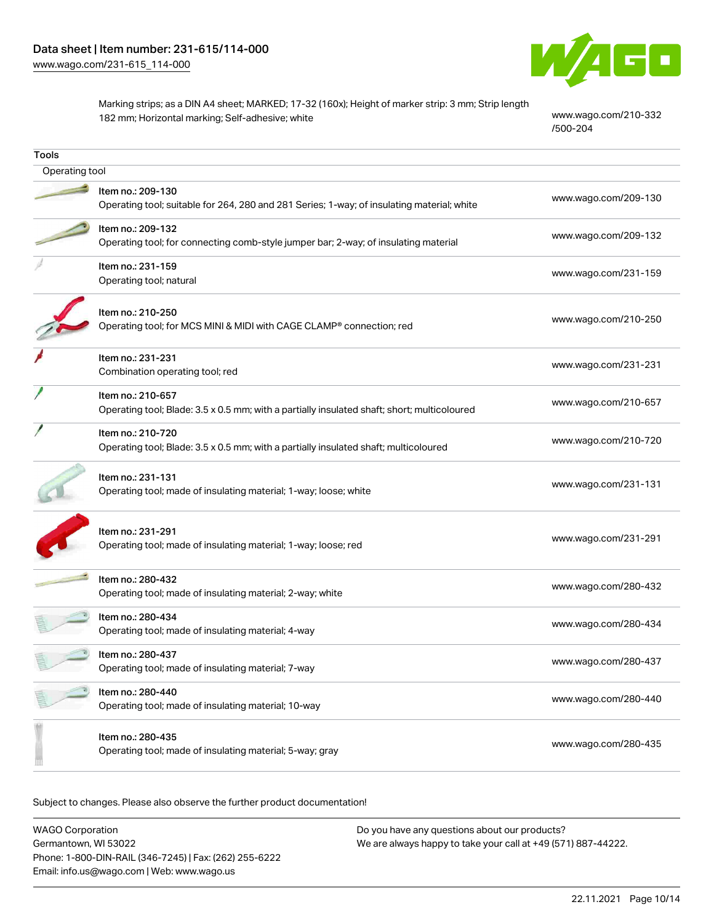

Marking strips; as a DIN A4 sheet; MARKED; 17-32 (160x); Height of marker strip: 3 mm; Strip length 182 mm; Horizontal marking; Self-adhesive; white [www.wago.com/210-332](http://www.wago.com/210-332/500-204)

[/500-204](http://www.wago.com/210-332/500-204)

| Tools          |                                                                                                                  |                      |  |
|----------------|------------------------------------------------------------------------------------------------------------------|----------------------|--|
| Operating tool |                                                                                                                  |                      |  |
|                | Item no.: 209-130<br>Operating tool; suitable for 264, 280 and 281 Series; 1-way; of insulating material; white  | www.wago.com/209-130 |  |
|                | Item no.: 209-132<br>Operating tool; for connecting comb-style jumper bar; 2-way; of insulating material         | www.wago.com/209-132 |  |
|                | Item no.: 231-159<br>Operating tool; natural                                                                     | www.wago.com/231-159 |  |
|                | Item no.: 210-250<br>Operating tool; for MCS MINI & MIDI with CAGE CLAMP® connection; red                        | www.wago.com/210-250 |  |
|                | Item no.: 231-231<br>Combination operating tool; red                                                             | www.wago.com/231-231 |  |
|                | Item no.: 210-657<br>Operating tool; Blade: 3.5 x 0.5 mm; with a partially insulated shaft; short; multicoloured | www.wago.com/210-657 |  |
|                | Item no.: 210-720<br>Operating tool; Blade: 3.5 x 0.5 mm; with a partially insulated shaft; multicoloured        | www.wago.com/210-720 |  |
|                | Item no.: 231-131<br>Operating tool; made of insulating material; 1-way; loose; white                            | www.wago.com/231-131 |  |
|                | Item no.: 231-291<br>Operating tool; made of insulating material; 1-way; loose; red                              | www.wago.com/231-291 |  |
|                | Item no.: 280-432<br>Operating tool; made of insulating material; 2-way; white                                   | www.wago.com/280-432 |  |
|                | Item no.: 280-434<br>Operating tool; made of insulating material; 4-way                                          | www.wago.com/280-434 |  |
|                | Item no.: 280-437<br>Operating tool; made of insulating material; 7-way                                          | www.wago.com/280-437 |  |
|                | Item no.: 280-440<br>Operating tool; made of insulating material; 10-way                                         | www.wago.com/280-440 |  |
|                | Item no.: 280-435<br>Operating tool; made of insulating material; 5-way; gray                                    | www.wago.com/280-435 |  |

Subject to changes. Please also observe the further product documentation!

| WAGO Corporation                                       | Do you have any questions about our products?                 |  |
|--------------------------------------------------------|---------------------------------------------------------------|--|
| Germantown. WI 53022                                   | We are always happy to take your call at +49 (571) 887-44222. |  |
| Phone: 1-800-DIN-RAIL (346-7245)   Fax: (262) 255-6222 |                                                               |  |
| Email: info.us@wago.com   Web: www.wago.us             |                                                               |  |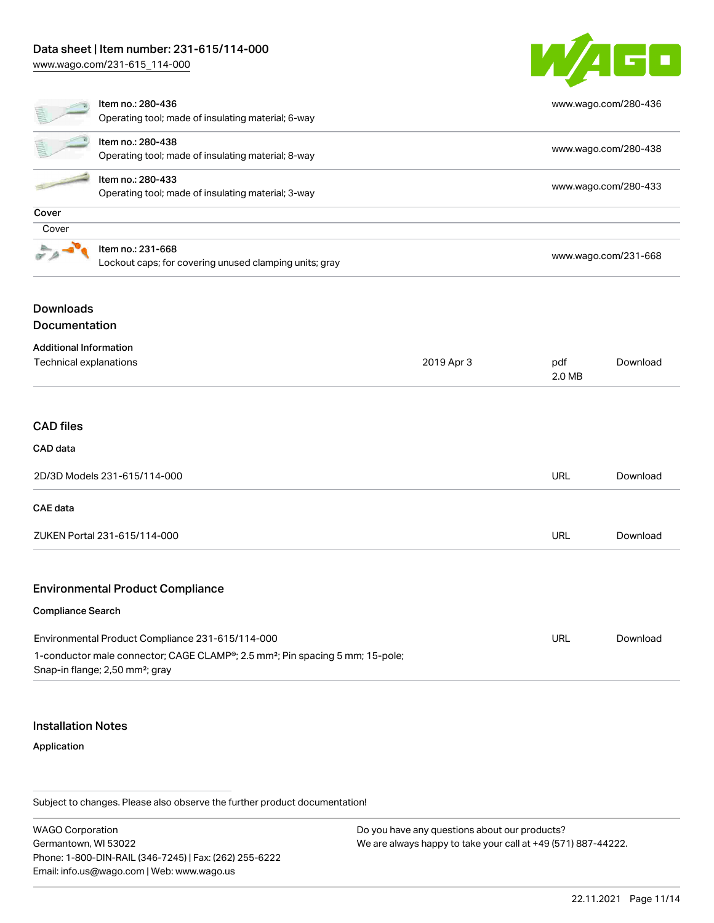## Data sheet | Item number: 231-615/114-000

[www.wago.com/231-615\\_114-000](http://www.wago.com/231-615_114-000)



|                               | Item no.: 280-436<br>Operating tool; made of insulating material; 6-way     |                      |                      | www.wago.com/280-436 |  |
|-------------------------------|-----------------------------------------------------------------------------|----------------------|----------------------|----------------------|--|
|                               | Item no.: 280-438<br>Operating tool; made of insulating material; 8-way     | www.wago.com/280-438 |                      |                      |  |
|                               | Item no.: 280-433<br>Operating tool; made of insulating material; 3-way     |                      |                      | www.wago.com/280-433 |  |
| Cover                         |                                                                             |                      |                      |                      |  |
| Cover                         |                                                                             |                      |                      |                      |  |
|                               | Item no.: 231-668<br>Lockout caps; for covering unused clamping units; gray |                      | www.wago.com/231-668 |                      |  |
| <b>Downloads</b>              |                                                                             |                      |                      |                      |  |
| Documentation                 |                                                                             |                      |                      |                      |  |
| <b>Additional Information</b> |                                                                             |                      |                      |                      |  |
| Technical explanations        |                                                                             | 2019 Apr 3           | pdf<br>2.0 MB        | Download             |  |
|                               |                                                                             |                      |                      |                      |  |
| <b>CAD files</b>              |                                                                             |                      |                      |                      |  |
| CAD data                      |                                                                             |                      |                      |                      |  |
|                               | 2D/3D Models 231-615/114-000                                                |                      | URL                  | Download             |  |
| <b>CAE</b> data               |                                                                             |                      |                      |                      |  |
|                               | ZUKEN Portal 231-615/114-000                                                |                      | <b>URL</b>           | Download             |  |

#### Environmental Product Compliance

#### Compliance Search

| Environmental Product Compliance 231-615/114-000                                                       | URL | Download |
|--------------------------------------------------------------------------------------------------------|-----|----------|
| 1-conductor male connector; CAGE CLAMP <sup>®</sup> ; 2.5 mm <sup>2</sup> ; Pin spacing 5 mm; 15-pole; |     |          |
| Snap-in flange; 2,50 mm <sup>2</sup> ; gray                                                            |     |          |

#### Installation Notes

#### Application

Subject to changes. Please also observe the further product documentation!

WAGO Corporation Germantown, WI 53022 Phone: 1-800-DIN-RAIL (346-7245) | Fax: (262) 255-6222 Email: info.us@wago.com | Web: www.wago.us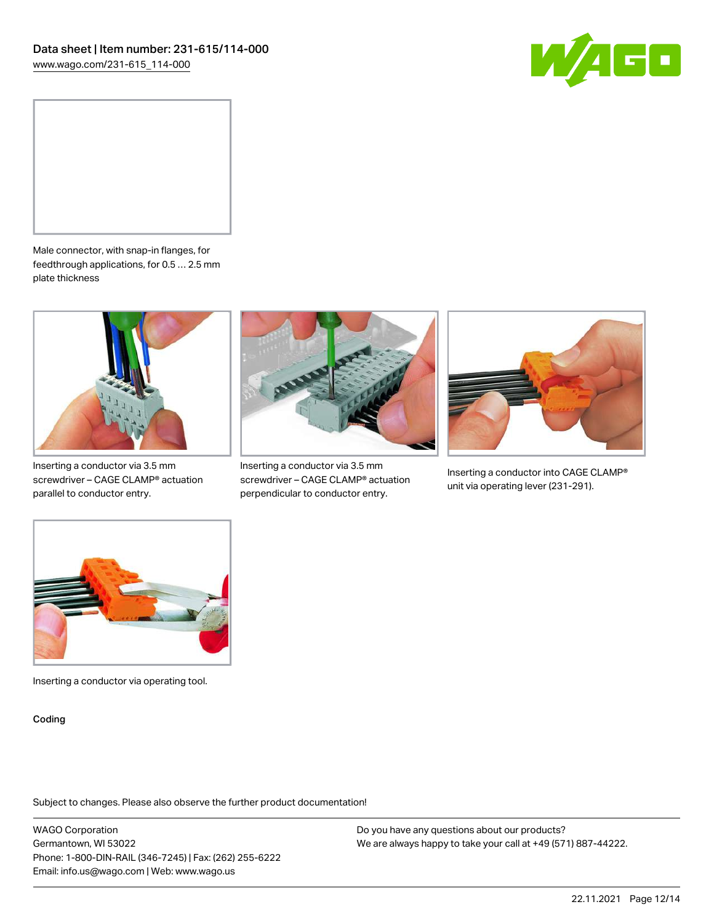



Male connector, with snap-in flanges, for feedthrough applications, for 0.5 … 2.5 mm plate thickness



Inserting a conductor via 3.5 mm screwdriver – CAGE CLAMP® actuation parallel to conductor entry.



Inserting a conductor via 3.5 mm screwdriver – CAGE CLAMP® actuation perpendicular to conductor entry.



Inserting a conductor into CAGE CLAMP® unit via operating lever (231-291).



Inserting a conductor via operating tool.

Coding

Subject to changes. Please also observe the further product documentation!

WAGO Corporation Germantown, WI 53022 Phone: 1-800-DIN-RAIL (346-7245) | Fax: (262) 255-6222 Email: info.us@wago.com | Web: www.wago.us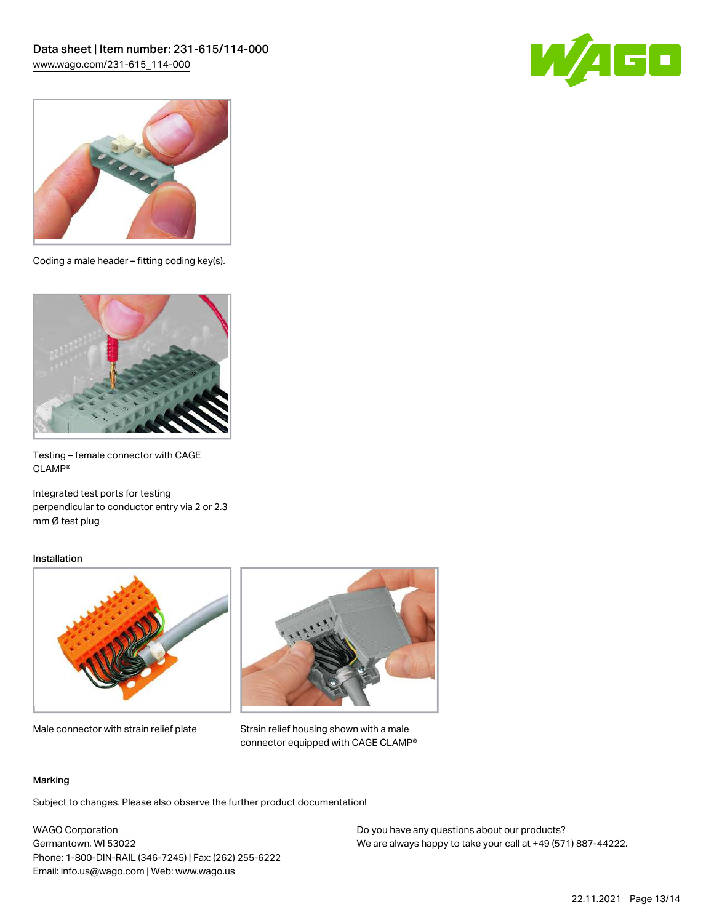



Coding a male header – fitting coding key(s).



Testing – female connector with CAGE CLAMP®

Integrated test ports for testing perpendicular to conductor entry via 2 or 2.3 mm Ø test plug

#### Installation



Male connector with strain relief plate



Strain relief housing shown with a male connector equipped with CAGE CLAMP®

#### Marking

Subject to changes. Please also observe the further product documentation!

WAGO Corporation Germantown, WI 53022 Phone: 1-800-DIN-RAIL (346-7245) | Fax: (262) 255-6222 Email: info.us@wago.com | Web: www.wago.us